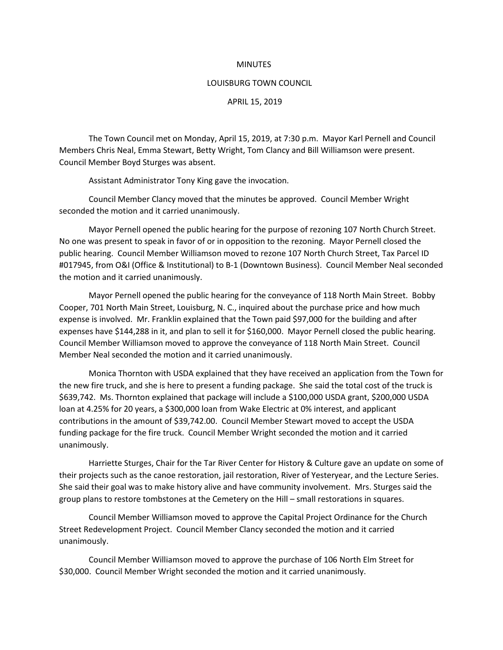## **MINUTES**

## LOUISBURG TOWN COUNCIL

APRIL 15, 2019

The Town Council met on Monday, April 15, 2019, at 7:30 p.m. Mayor Karl Pernell and Council Members Chris Neal, Emma Stewart, Betty Wright, Tom Clancy and Bill Williamson were present. Council Member Boyd Sturges was absent.

Assistant Administrator Tony King gave the invocation.

Council Member Clancy moved that the minutes be approved. Council Member Wright seconded the motion and it carried unanimously.

Mayor Pernell opened the public hearing for the purpose of rezoning 107 North Church Street. No one was present to speak in favor of or in opposition to the rezoning. Mayor Pernell closed the public hearing. Council Member Williamson moved to rezone 107 North Church Street, Tax Parcel ID #017945, from O&I (Office & Institutional) to B-1 (Downtown Business). Council Member Neal seconded the motion and it carried unanimously.

Mayor Pernell opened the public hearing for the conveyance of 118 North Main Street. Bobby Cooper, 701 North Main Street, Louisburg, N. C., inquired about the purchase price and how much expense is involved. Mr. Franklin explained that the Town paid \$97,000 for the building and after expenses have \$144,288 in it, and plan to sell it for \$160,000. Mayor Pernell closed the public hearing. Council Member Williamson moved to approve the conveyance of 118 North Main Street. Council Member Neal seconded the motion and it carried unanimously.

Monica Thornton with USDA explained that they have received an application from the Town for the new fire truck, and she is here to present a funding package. She said the total cost of the truck is \$639,742. Ms. Thornton explained that package will include a \$100,000 USDA grant, \$200,000 USDA loan at 4.25% for 20 years, a \$300,000 loan from Wake Electric at 0% interest, and applicant contributions in the amount of \$39,742.00. Council Member Stewart moved to accept the USDA funding package for the fire truck. Council Member Wright seconded the motion and it carried unanimously.

Harriette Sturges, Chair for the Tar River Center for History & Culture gave an update on some of their projects such as the canoe restoration, jail restoration, River of Yesteryear, and the Lecture Series. She said their goal was to make history alive and have community involvement. Mrs. Sturges said the group plans to restore tombstones at the Cemetery on the Hill – small restorations in squares.

Council Member Williamson moved to approve the Capital Project Ordinance for the Church Street Redevelopment Project. Council Member Clancy seconded the motion and it carried unanimously.

Council Member Williamson moved to approve the purchase of 106 North Elm Street for \$30,000. Council Member Wright seconded the motion and it carried unanimously.